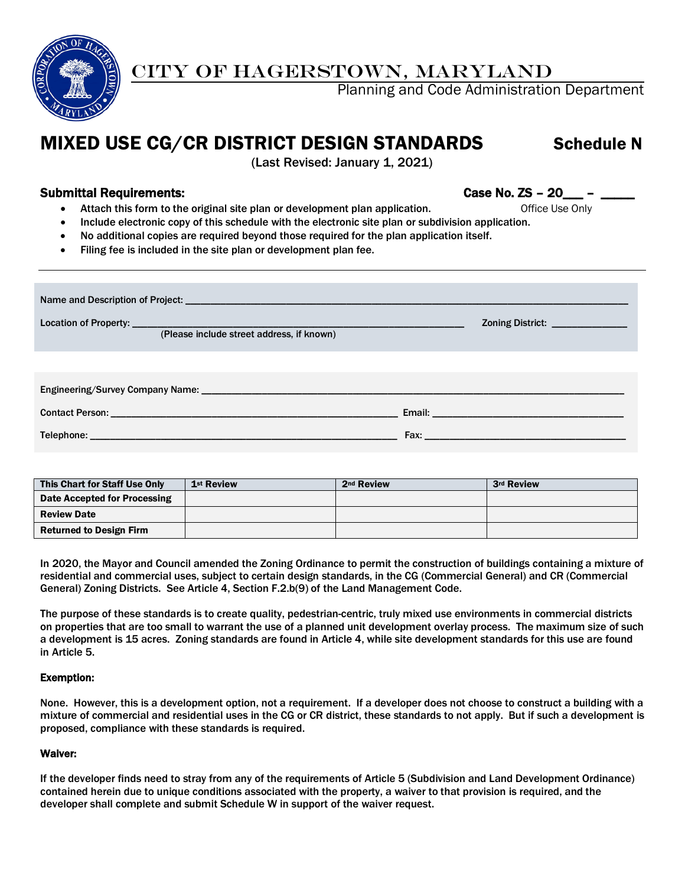

## CITY OF HAGERSTOWN, MARYLAND

Planning and Code Administration Department

# MIXED USE CG/CR DISTRICT DESIGN STANDARDS Schedule N

(Last Revised: January 1, 2021)

### Submittal Requirements: Case No. ZS – 20\_\_\_ – \_\_\_\_\_

- Attach this form to the original site plan or development plan application. The office Use Only
- Include electronic copy of this schedule with the electronic site plan or subdivision application.
- No additional copies are required beyond those required for the plan application itself.
- Filing fee is included in the site plan or development plan fee.

| (Please include street address, if known)                                                                                 | Zoning District: _______________ |  |  |  |  |  |  |
|---------------------------------------------------------------------------------------------------------------------------|----------------------------------|--|--|--|--|--|--|
|                                                                                                                           |                                  |  |  |  |  |  |  |
|                                                                                                                           |                                  |  |  |  |  |  |  |
|                                                                                                                           |                                  |  |  |  |  |  |  |
| <b>Telephone: Analysis of the Community of the Community of the Community of the Community of the Community of the Co</b> |                                  |  |  |  |  |  |  |

| This Chart for Staff Use Only  | 1 <sup>st</sup> Review | 2 <sup>nd</sup> Review | 3rd Review |
|--------------------------------|------------------------|------------------------|------------|
| Date Accepted for Processing   |                        |                        |            |
| <b>Review Date</b>             |                        |                        |            |
| <b>Returned to Design Firm</b> |                        |                        |            |

In 2020, the Mayor and Council amended the Zoning Ordinance to permit the construction of buildings containing a mixture of residential and commercial uses, subject to certain design standards, in the CG (Commercial General) and CR (Commercial General) Zoning Districts. See Article 4, Section F.2.b(9) of the Land Management Code.

The purpose of these standards is to create quality, pedestrian-centric, truly mixed use environments in commercial districts on properties that are too small to warrant the use of a planned unit development overlay process. The maximum size of such a development is 15 acres. Zoning standards are found in Article 4, while site development standards for this use are found in Article 5.

#### Exemption:

None. However, this is a development option, not a requirement. If a developer does not choose to construct a building with a mixture of commercial and residential uses in the CG or CR district, these standards to not apply. But if such a development is proposed, compliance with these standards is required.

#### Waiver:

If the developer finds need to stray from any of the requirements of Article 5 (Subdivision and Land Development Ordinance) contained herein due to unique conditions associated with the property, a waiver to that provision is required, and the developer shall complete and submit Schedule W in support of the waiver request.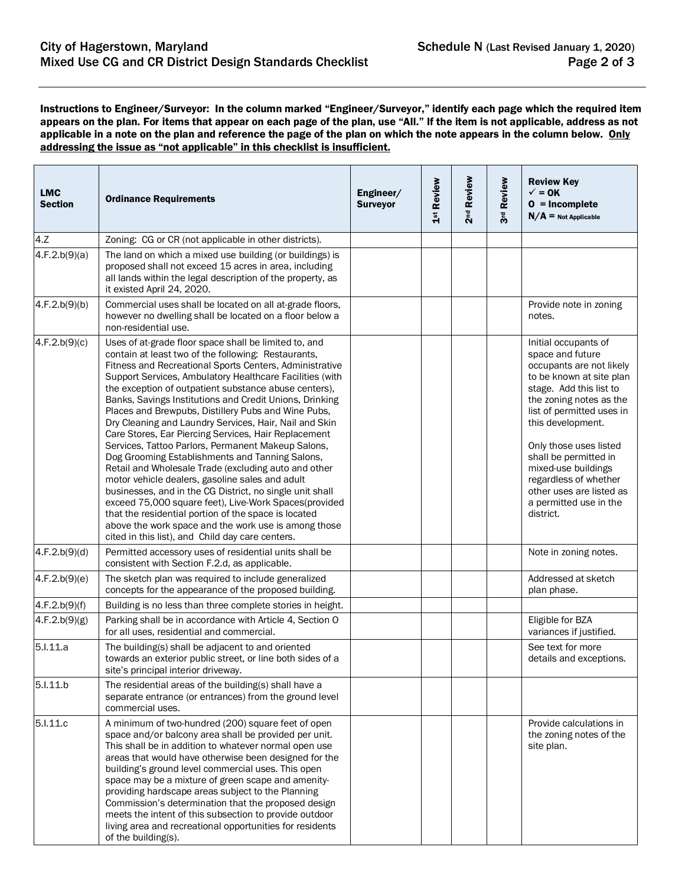Instructions to Engineer/Surveyor: In the column marked "Engineer/Surveyor," identify each page which the required item appears on the plan. For items that appear on each page of the plan, use "All." If the item is not applicable, address as not applicable in a note on the plan and reference the page of the plan on which the note appears in the column below. Only addressing the issue as "not applicable" in this checklist is insufficient.

| <b>LMC</b><br><b>Section</b> | <b>Ordinance Requirements</b>                                                                                                                                                                                                                                                                                                                                                                                                                                                                                                                                                                                                                                                                                                                                                                                                                                                                                                                                                                                                                 | Engineer/<br><b>Surveyor</b> | 1st Review | 2 <sup>nd</sup> Review | 3rd Review | <b>Review Key</b><br>$\checkmark$ = 0K<br>$0 = Incomplete$<br>$N/A$ = Not Applicable                                                                                                                                                                                                                                                                                           |
|------------------------------|-----------------------------------------------------------------------------------------------------------------------------------------------------------------------------------------------------------------------------------------------------------------------------------------------------------------------------------------------------------------------------------------------------------------------------------------------------------------------------------------------------------------------------------------------------------------------------------------------------------------------------------------------------------------------------------------------------------------------------------------------------------------------------------------------------------------------------------------------------------------------------------------------------------------------------------------------------------------------------------------------------------------------------------------------|------------------------------|------------|------------------------|------------|--------------------------------------------------------------------------------------------------------------------------------------------------------------------------------------------------------------------------------------------------------------------------------------------------------------------------------------------------------------------------------|
| 4.7                          | Zoning: CG or CR (not applicable in other districts).                                                                                                                                                                                                                                                                                                                                                                                                                                                                                                                                                                                                                                                                                                                                                                                                                                                                                                                                                                                         |                              |            |                        |            |                                                                                                                                                                                                                                                                                                                                                                                |
| 4.F.2.b(9)(a)                | The land on which a mixed use building (or buildings) is<br>proposed shall not exceed 15 acres in area, including<br>all lands within the legal description of the property, as<br>it existed April 24, 2020.                                                                                                                                                                                                                                                                                                                                                                                                                                                                                                                                                                                                                                                                                                                                                                                                                                 |                              |            |                        |            |                                                                                                                                                                                                                                                                                                                                                                                |
| 4.F.2.b(9)(b)                | Commercial uses shall be located on all at-grade floors,<br>however no dwelling shall be located on a floor below a<br>non-residential use.                                                                                                                                                                                                                                                                                                                                                                                                                                                                                                                                                                                                                                                                                                                                                                                                                                                                                                   |                              |            |                        |            | Provide note in zoning<br>notes.                                                                                                                                                                                                                                                                                                                                               |
| 4.F.2.b(9)(c)                | Uses of at-grade floor space shall be limited to, and<br>contain at least two of the following: Restaurants,<br>Fitness and Recreational Sports Centers, Administrative<br>Support Services, Ambulatory Healthcare Facilities (with<br>the exception of outpatient substance abuse centers),<br>Banks, Savings Institutions and Credit Unions, Drinking<br>Places and Brewpubs, Distillery Pubs and Wine Pubs,<br>Dry Cleaning and Laundry Services, Hair, Nail and Skin<br>Care Stores, Ear Piercing Services, Hair Replacement<br>Services, Tattoo Parlors, Permanent Makeup Salons,<br>Dog Grooming Establishments and Tanning Salons,<br>Retail and Wholesale Trade (excluding auto and other<br>motor vehicle dealers, gasoline sales and adult<br>businesses, and in the CG District, no single unit shall<br>exceed 75,000 square feet), Live-Work Spaces(provided<br>that the residential portion of the space is located<br>above the work space and the work use is among those<br>cited in this list), and Child day care centers. |                              |            |                        |            | Initial occupants of<br>space and future<br>occupants are not likely<br>to be known at site plan<br>stage. Add this list to<br>the zoning notes as the<br>list of permitted uses in<br>this development.<br>Only those uses listed<br>shall be permitted in<br>mixed-use buildings<br>regardless of whether<br>other uses are listed as<br>a permitted use in the<br>district. |
| 4.F.2.b(9)(d)                | Permitted accessory uses of residential units shall be<br>consistent with Section F.2.d, as applicable.                                                                                                                                                                                                                                                                                                                                                                                                                                                                                                                                                                                                                                                                                                                                                                                                                                                                                                                                       |                              |            |                        |            | Note in zoning notes.                                                                                                                                                                                                                                                                                                                                                          |
| 4.F.2.b(9)(e)                | The sketch plan was required to include generalized<br>concepts for the appearance of the proposed building.                                                                                                                                                                                                                                                                                                                                                                                                                                                                                                                                                                                                                                                                                                                                                                                                                                                                                                                                  |                              |            |                        |            | Addressed at sketch<br>plan phase.                                                                                                                                                                                                                                                                                                                                             |
| 4.F.2.b(9)(f)                | Building is no less than three complete stories in height.                                                                                                                                                                                                                                                                                                                                                                                                                                                                                                                                                                                                                                                                                                                                                                                                                                                                                                                                                                                    |                              |            |                        |            |                                                                                                                                                                                                                                                                                                                                                                                |
| 4.F.2.b(9)(g)                | Parking shall be in accordance with Article 4, Section O<br>for all uses, residential and commercial.                                                                                                                                                                                                                                                                                                                                                                                                                                                                                                                                                                                                                                                                                                                                                                                                                                                                                                                                         |                              |            |                        |            | Eligible for BZA<br>variances if justified.                                                                                                                                                                                                                                                                                                                                    |
| 5.1.11.a                     | The building(s) shall be adjacent to and oriented<br>towards an exterior public street, or line both sides of a<br>site's principal interior driveway.                                                                                                                                                                                                                                                                                                                                                                                                                                                                                                                                                                                                                                                                                                                                                                                                                                                                                        |                              |            |                        |            | See text for more<br>details and exceptions.                                                                                                                                                                                                                                                                                                                                   |
| 5.I.11.b                     | The residential areas of the building(s) shall have a<br>separate entrance (or entrances) from the ground level<br>commercial uses.                                                                                                                                                                                                                                                                                                                                                                                                                                                                                                                                                                                                                                                                                                                                                                                                                                                                                                           |                              |            |                        |            |                                                                                                                                                                                                                                                                                                                                                                                |
| 5.I.11.c                     | A minimum of two-hundred (200) square feet of open<br>space and/or balcony area shall be provided per unit.<br>This shall be in addition to whatever normal open use<br>areas that would have otherwise been designed for the<br>building's ground level commercial uses. This open<br>space may be a mixture of green scape and amenity-<br>providing hardscape areas subject to the Planning<br>Commission's determination that the proposed design<br>meets the intent of this subsection to provide outdoor<br>living area and recreational opportunities for residents<br>of the building(s).                                                                                                                                                                                                                                                                                                                                                                                                                                            |                              |            |                        |            | Provide calculations in<br>the zoning notes of the<br>site plan.                                                                                                                                                                                                                                                                                                               |